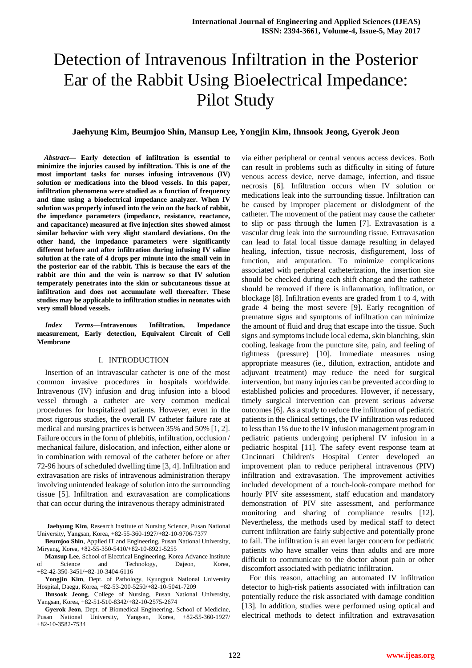# Detection of Intravenous Infiltration in the Posterior Ear of the Rabbit Using Bioelectrical Impedance: Pilot Study

# **Jaehyung Kim, Beumjoo Shin, Mansup Lee, Yongjin Kim, Ihnsook Jeong, Gyerok Jeon**

*Abstract***— Early detection of infiltration is essential to minimize the injuries caused by infiltration. This is one of the most important tasks for nurses infusing intravenous (IV) solution or medications into the blood vessels. In this paper, infiltration phenomena were studied as a function of frequency and time using a bioelectrical impedance analyzer. When IV solution was properly infused into the vein on the back of rabbit, the impedance parameters (impedance, resistance, reactance, and capacitance) measured at five injection sites showed almost similar behavior with very slight standard deviations. On the other hand, the impedance parameters were significantly different before and after infiltration during infusing IV saline solution at the rate of 4 drops per minute into the small vein in the posterior ear of the rabbit. This is because the ears of the rabbit are thin and the vein is narrow so that IV solution temperately penetrates into the skin or subcutaneous tissue at infiltration and does not accumulate well thereafter. These studies may be applicable to infiltration studies in neonates with very small blood vessels.**

*Index Terms***—Intravenous Infiltration, Impedance measurement, Early detection, Equivalent Circuit of Cell Membrane**

### I. INTRODUCTION

Insertion of an intravascular catheter is one of the most common invasive procedures in hospitals worldwide. Intravenous (IV) infusion and drug infusion into a blood vessel through a catheter are very common medical procedures for hospitalized patients. However, even in the most rigorous studies, the overall IV catheter failure rate at medical and nursing practices is between 35% and 50% [1, 2]. Failure occurs in the form of phlebitis, infiltration, occlusion / mechanical failure, dislocation, and infection, either alone or in combination with removal of the catheter before or after 72-96 hours of scheduled dwelling time [3, 4]. Infiltration and extravasation are risks of intravenous administration therapy involving unintended leakage of solution into the surrounding tissue [5]. Infiltration and extravasation are complications that can occur during the intravenous therapy administrated

**Jaehyung Kim**, Research Institute of Nursing Science, Pusan National University, Yangsan, Korea, +82-55-360-1927/+82-10-9706-7377

**Beumjoo Shin**, Applied IT and Engineering, Pusan National University, Miryang, Korea, +82-55-350-5410/+82-10-8921-5255

**Mansup Lee**, School of Electrical Engineering, Korea Advance Institute of Science and Technology, Dajeon, Korea, +82-42-350-3451/+82-10-3404-6116

**Yongjin Kim**, Dept. of Pathology, Kyungpuk National University Hospital, Daegu, Korea, +82-53-200-5250/+82-10-5041-7209

**Ihnsook Jeong**, College of Nursing, Pusan National University, Yangsan, Korea, +82-51-510-8342/+82-10-2575-2674

**Gyerok Jeon**, Dept. of Biomedical Engineering, School of Medicine, Pusan National University, Yangsan, Korea, +82-55-360-1927/ +82-10-3582-7534

via either peripheral or central venous access devices. Both can result in problems such as difficulty in siting of future venous access device, nerve damage, infection, and tissue necrosis [6]. Infiltration occurs when IV solution or medications leak into the surrounding tissue. Infiltration can be caused by improper placement or dislodgment of the catheter. The movement of the patient may cause the catheter to slip or pass through the lumen [7]. Extravasation is a vascular drug leak into the surrounding tissue. Extravasation can lead to fatal local tissue damage resulting in delayed healing, infection, tissue necrosis, disfigurement, loss of function, and amputation. To minimize complications associated with peripheral catheterization, the insertion site should be checked during each shift change and the catheter should be removed if there is inflammation, infiltration, or blockage [8]. Infiltration events are graded from 1 to 4, with grade 4 being the most severe [9]. Early recognition of premature signs and symptoms of infiltration can minimize the amount of fluid and drug that escape into the tissue. Such signs and symptoms include local edema, skin blanching, skin cooling, leakage from the puncture site, pain, and feeling of tightness (pressure) [10]. Immediate measures using appropriate measures (ie., dilution, extraction, antidote and adjuvant treatment) may reduce the need for surgical intervention, but many injuries can be prevented according to established policies and procedures. However, if necessary, timely surgical intervention can prevent serious adverse outcomes [6]. As a study to reduce the infiltration of pediatric patients in the clinical settings, the IV infiltration was reduced to less than 1% due to the IV infusion management program in pediatric patients undergoing peripheral IV infusion in a pediatric hospital [11]. The safety event response team at Cincinnati Children's Hospital Center developed an improvement plan to reduce peripheral intravenous (PIV) infiltration and extravasation. The improvement activities included development of a touch-look-compare method for hourly PIV site assessment, staff education and mandatory demonstration of PIV site assessment, and performance monitoring and sharing of compliance results [12]. Nevertheless, the methods used by medical staff to detect current infiltration are fairly subjective and potentially prone to fail. The infiltration is an even larger concern for pediatric patients who have smaller veins than adults and are more difficult to communicate to the doctor about pain or other discomfort associated with pediatric infiltration.

For this reason, attaching an automated IV infiltration detector to high-risk patients associated with infiltration can potentially reduce the risk associated with damage condition [13]. In addition, studies were performed using optical and electrical methods to detect infiltration and extravasation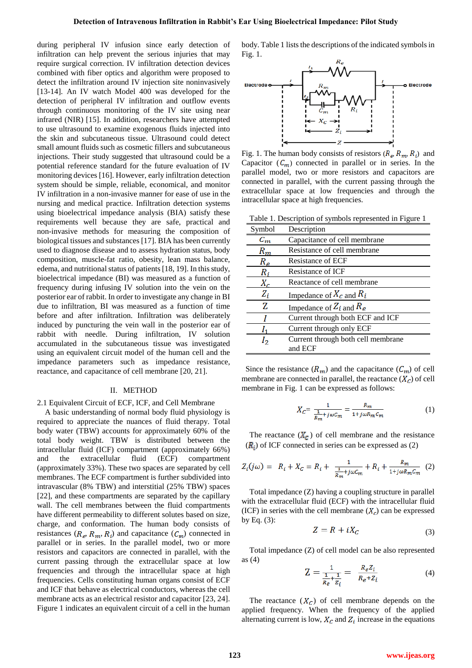during peripheral IV infusion since early detection of infiltration can help prevent the serious injuries that may require surgical correction. IV infiltration detection devices combined with fiber optics and algorithm were proposed to detect the infiltration around IV injection site noninvasively [13-14]. An IV watch Model 400 was developed for the detection of peripheral IV infiltration and outflow events through continuous monitoring of the IV site using near infrared (NIR) [15]. In addition, researchers have attempted to use ultrasound to examine exogenous fluids injected into the skin and subcutaneous tissue. Ultrasound could detect small amount fluids such as cosmetic fillers and subcutaneous injections. Their study suggested that ultrasound could be a potential reference standard for the future evaluation of IV monitoring devices [16]. However, early infiltration detection system should be simple, reliable, economical, and monitor IV infiltration in a non-invasive manner for ease of use in the nursing and medical practice. Infiltration detection systems using bioelectrical impedance analysis (BIA) satisfy these requirements well because they are safe, practical and non-invasive methods for measuring the composition of biological tissues and substances [17]. BIA has been currently used to diagnose disease and to assess hydration status, body composition, muscle-fat ratio, obesity, lean mass balance, edema, and nutritional status of patients [18, 19]. In this study, bioelectrical impedance (BI) was measured as a function of frequency during infusing IV solution into the vein on the posterior ear of rabbit. In order to investigate any change in BI due to infiltration, BI was measured as a function of time before and after infiltration. Infiltration was deliberately induced by puncturing the vein wall in the posterior ear of rabbit with needle. During infiltration, IV solution accumulated in the subcutaneous tissue was investigated using an equivalent circuit model of the human cell and the impedance parameters such as impedance resistance, reactance, and capacitance of cell membrane [20, 21].

#### II. METHOD

# 2.1 Equivalent Circuit of ECF, ICF, and Cell Membrane

A basic understanding of normal body fluid physiology is required to appreciate the nuances of fluid therapy. Total body water (TBW) accounts for approximately 60% of the total body weight. TBW is distributed between the intracellular fluid (ICF) compartment (approximately 66%) and the extracellular fluid (ECF) compartment (approximately 33%). These two spaces are separated by cell membranes. The ECF compartment is further subdivided into intravascular (8% TBW) and interstitial (25% TBW) spaces [22], and these compartments are separated by the capillary wall. The cell membranes between the fluid compartments have different permeability to different solutes based on size, charge, and conformation. The human body consists of resistances ( $R_e$ ,  $R_m$ ,  $R_i$ ) and capacitance ( $C_m$ ) connected in parallel or in series. In the parallel model, two or more resistors and capacitors are connected in parallel, with the current passing through the extracellular space at low frequencies and through the intracellular space at high frequencies. Cells constituting human organs consist of ECF and ICF that behave as electrical conductors, whereas the cell membrane acts as an electrical resistor and capacitor [23, 24]. Figure 1 indicates an equivalent circuit of a cell in the human

body. Table 1 lists the descriptions of the indicated symbols in Fig. 1.



Fig. 1. The human body consists of resistors  $(R_e, R_m, R_i)$  and Capacitor  $(C_m)$  connected in parallel or in series. In the parallel model, two or more resistors and capacitors are connected in parallel, with the current passing through the extracellular space at low frequencies and through the intracellular space at high frequencies.

Table 1. Description of symbols represented in Figure 1

| Symbol                 | Description                        |
|------------------------|------------------------------------|
| $\mathcal{C}_{\bm{m}}$ | Capacitance of cell membrane       |
| $R_m$                  | Resistance of cell membrane        |
| $R_e$                  | Resistance of ECF                  |
| $R_i$                  | Resistance of ICF                  |
| $X_c$                  | Reactance of cell membrane         |
| $Z_i$                  | Impedance of $X_c$ and $R_i$       |
| Z                      | Impedance of $Z_i$ and $R_e$       |
|                        | Current through both ECF and ICF   |
|                        | Current through only ECF           |
| I2                     | Current through both cell membrane |
|                        | and ECF                            |

Since the resistance  $(R_m)$  and the capacitance  $(C_m)$  of cell membrane are connected in parallel, the reactance  $(X_C)$  of cell membrane in Fig. 1 can be expressed as follows:

$$
X_C = \frac{1}{\frac{1}{R_m} + j\omega C_m} = \frac{R_m}{1 + j\omega R_m C_m} \tag{1}
$$

The reactance  $(X_c)$  of cell membrane and the resistance  $(R_i)$  of ICF connected in series can be expressed as (2)

$$
Z_i(j\omega) = R_i + X_c = R_i + \frac{1}{\frac{1}{R_m} + j\omega c_m} + R_i + \frac{R_m}{1 + j\omega R_m c_m} \tag{2}
$$

Total impedance (Z) having a coupling structure in parallel with the extracellular fluid (ECF) with the intracellular fluid (ICF) in series with the cell membrane  $(X_c)$  can be expressed by Eq.  $(3)$ :

$$
Z = R + iX_C \tag{3}
$$

Total impedance (Z) of cell model can be also represented as (4)

$$
Z = \frac{1}{\frac{1}{R_e} + \frac{1}{Z_i}} = \frac{R_e Z_i}{R_e + Z_i}
$$
(4)

The reactance  $(X_c)$  of cell membrane depends on the applied frequency. When the frequency of the applied alternating current is low,  $X_c$  and  $Z_i$  increase in the equations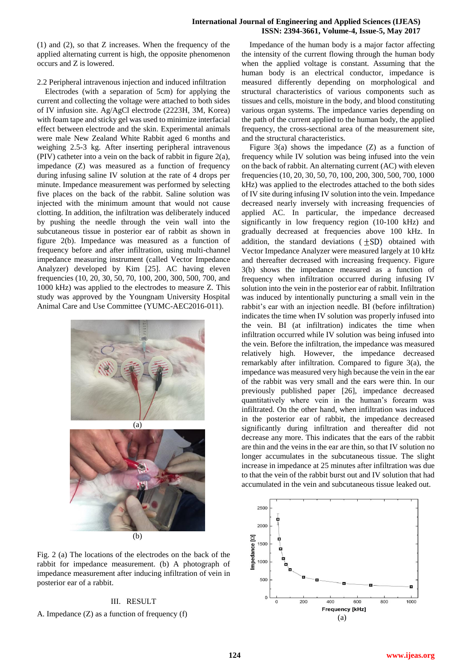# **International Journal of Engineering and Applied Sciences (IJEAS) ISSN: 2394-3661, Volume-4, Issue-5, May 2017**

(1) and (2), so that Z increases. When the frequency of the applied alternating current is high, the opposite phenomenon occurs and Z is lowered.

# 2.2 Peripheral intravenous injection and induced infiltration

Electrodes (with a separation of 5cm) for applying the current and collecting the voltage were attached to both sides of IV infusion site. Ag/AgCl electrode (2223H, 3M, Korea) with foam tape and sticky gel was used to minimize interfacial effect between electrode and the skin. Experimental animals were male New Zealand White Rabbit aged 6 months and weighing 2.5-3 kg. After inserting peripheral intravenous (PIV) catheter into a vein on the back of rabbit in figure 2(a), impedance (Z) was measured as a function of frequency during infusing saline IV solution at the rate of 4 drops per minute. Impedance measurement was performed by selecting five places on the back of the rabbit. Saline solution was injected with the minimum amount that would not cause clotting. In addition, the infiltration was deliberately induced by pushing the needle through the vein wall into the subcutaneous tissue in posterior ear of rabbit as shown in figure 2(b). Impedance was measured as a function of frequency before and after infiltration, using multi-channel impedance measuring instrument (called Vector Impedance Analyzer) developed by Kim [25]. AC having eleven frequencies (10, 20, 30, 50, 70, 100, 200, 300, 500, 700, and 1000 kHz) was applied to the electrodes to measure Z. This study was approved by the Youngnam University Hospital Animal Care and Use Committee (YUMC-AEC2016-011).



Fig. 2 (a) The locations of the electrodes on the back of the rabbit for impedance measurement. (b) A photograph of impedance measurement after inducing infiltration of vein in posterior ear of a rabbit.

# III. RESULT

# A. Impedance (Z) as a function of frequency (f)

Impedance of the human body is a major factor affecting the intensity of the current flowing through the human body when the applied voltage is constant. Assuming that the human body is an electrical conductor, impedance is measured differently depending on morphological and structural characteristics of various components such as tissues and cells, moisture in the body, and blood constituting various organ systems. The impedance varies depending on the path of the current applied to the human body, the applied frequency, the cross-sectional area of the measurement site, and the structural characteristics.

Figure  $3(a)$  shows the impedance  $(Z)$  as a function of frequency while IV solution was being infused into the vein on the back of rabbit. An alternating current (AC) with eleven frequencies (10, 20, 30, 50, 70, 100, 200, 300, 500, 700, 1000 kHz) was applied to the electrodes attached to the both sides of IV site during infusing IV solution into the vein. Impedance decreased nearly inversely with increasing frequencies of applied AC. In particular, the impedance decreased significantly in low frequency region (10-100 kHz) and gradually decreased at frequencies above 100 kHz. In addition, the standard deviations  $(\pm SD)$  obtained with Vector Impedance Analyzer were measured largely at 10 kHz and thereafter decreased with increasing frequency. Figure 3(b) shows the impedance measured as a function of frequency when infiltration occurred during infusing IV solution into the vein in the posterior ear of rabbit. Infiltration was induced by intentionally puncturing a small vein in the rabbit's ear with an injection needle. BI (before infiltration) indicates the time when IV solution was properly infused into the vein. BI (at infiltration) indicates the time when infiltration occurred while IV solution was being infused into the vein. Before the infiltration, the impedance was measured relatively high. However, the impedance decreased remarkably after infiltration. Compared to figure 3(a), the impedance was measured very high because the vein in the ear of the rabbit was very small and the ears were thin. In our previously published paper [26], impedance decreased quantitatively where vein in the human's forearm was infiltrated. On the other hand, when infiltration was induced in the posterior ear of rabbit, the impedance decreased significantly during infiltration and thereafter did not decrease any more. This indicates that the ears of the rabbit are thin and the veins in the ear are thin, so that IV solution no longer accumulates in the subcutaneous tissue. The slight increase in impedance at 25 minutes after infiltration was due to that the vein of the rabbit burst out and IV solution that had accumulated in the vein and subcutaneous tissue leaked out.

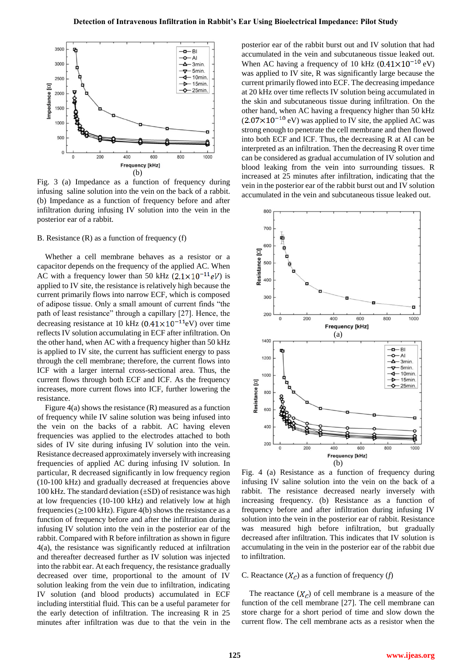

Fig. 3 (a) Impedance as a function of frequency during infusing saline solution into the vein on the back of a rabbit. (b) Impedance as a function of frequency before and after infiltration during infusing IV solution into the vein in the posterior ear of a rabbit.

# B. Resistance (R) as a function of frequency (f)

Whether a cell membrane behaves as a resistor or a capacitor depends on the frequency of the applied AC. When AC with a frequency lower than 50 kHz  $(2.1 \times 10^{-11} eV)$  is applied to IV site, the resistance is relatively high because the current primarily flows into narrow ECF, which is composed of adipose tissue. Only a small amount of current finds "the path of least resistance" through a capillary [27]. Hence, the decreasing resistance at 10 kHz  $(0.41 \times 10^{-11}$ eV) over time reflects IV solution accumulating in ECF after infiltration. On the other hand, when AC with a frequency higher than 50 kHz is applied to IV site, the current has sufficient energy to pass through the cell membrane; therefore, the current flows into ICF with a larger internal cross-sectional area. Thus, the current flows through both ECF and ICF. As the frequency increases, more current flows into ICF, further lowering the resistance.

Figure 4(a) shows the resistance (R) measured as a function of frequency while IV saline solution was being infused into the vein on the backs of a rabbit. AC having eleven frequencies was applied to the electrodes attached to both sides of IV site during infusing IV solution into the vein. Resistance decreased approximately inversely with increasing frequencies of applied AC during infusing IV solution. In particular, R decreased significantly in low frequency region (10-100 kHz) and gradually decreased at frequencies above 100 kHz. The standard deviation  $(\pm SD)$  of resistance was high at low frequencies (10-100 kHz) and relatively low at high frequencies ( $\geq$ 100 kHz). Figure 4(b) shows the resistance as a function of frequency before and after the infiltration during infusing IV solution into the vein in the posterior ear of the rabbit. Compared with R before infiltration as shown in figure 4(a), the resistance was significantly reduced at infiltration and thereafter decreased further as IV solution was injected into the rabbit ear. At each frequency, the resistance gradually decreased over time, proportional to the amount of IV solution leaking from the vein due to infiltration, indicating IV solution (and blood products) accumulated in ECF including interstitial fluid. This can be a useful parameter for the early detection of infiltration. The increasing R in 25 minutes after infiltration was due to that the vein in the posterior ear of the rabbit burst out and IV solution that had accumulated in the vein and subcutaneous tissue leaked out. When AC having a frequency of 10 kHz  $(0.41 \times 10^{-10}$  eV) was applied to IV site, R was significantly large because the current primarily flowed into ECF. The decreasing impedance at 20 kHz over time reflects IV solution being accumulated in the skin and subcutaneous tissue during infiltration. On the other hand, when AC having a frequency higher than 50 kHz  $(2.07\times10^{-10}$  eV) was applied to IV site, the applied AC was strong enough to penetrate the cell membrane and then flowed into both ECF and ICF. Thus, the decreasing R at AI can be interpreted as an infiltration. Then the decreasing R over time can be considered as gradual accumulation of IV solution and blood leaking from the vein into surrounding tissues. R increased at 25 minutes after infiltration, indicating that the vein in the posterior ear of the rabbit burst out and IV solution accumulated in the vein and subcutaneous tissue leaked out.



Fig. 4 (a) Resistance as a function of frequency during infusing IV saline solution into the vein on the back of a rabbit. The resistance decreased nearly inversely with increasing frequency. (b) Resistance as a function of frequency before and after infiltration during infusing IV solution into the vein in the posterior ear of rabbit. Resistance was measured high before infiltration, but gradually decreased after infiltration. This indicates that IV solution is accumulating in the vein in the posterior ear of the rabbit due to infiltration.

# C. Reactance  $(X_C)$  as a function of frequency  $(f)$

The reactance  $(X_C)$  of cell membrane is a measure of the function of the cell membrane [27]. The cell membrane can store charge for a short period of time and slow down the current flow. The cell membrane acts as a resistor when the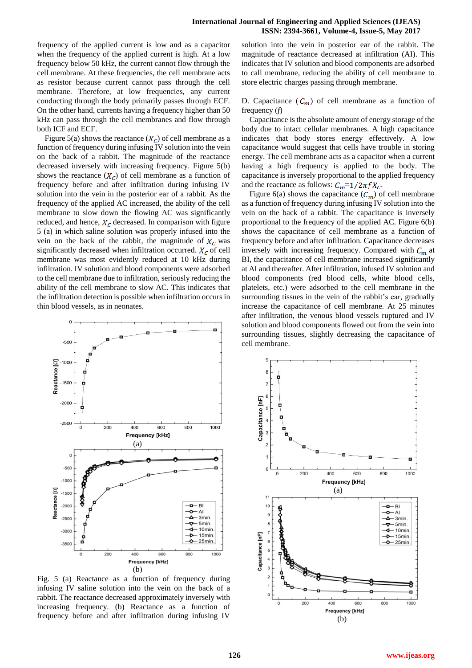frequency of the applied current is low and as a capacitor when the frequency of the applied current is high. At a low frequency below 50 kHz, the current cannot flow through the cell membrane. At these frequencies, the cell membrane acts as resistor because current cannot pass through the cell membrane. Therefore, at low frequencies, any current conducting through the body primarily passes through ECF. On the other hand, currents having a frequency higher than 50 kHz can pass through the cell membranes and flow through both ICF and ECF.

Figure 5(a) shows the reactance  $(X_C)$  of cell membrane as a function of frequency during infusing IV solution into the vein on the back of a rabbit. The magnitude of the reactance decreased inversely with increasing frequency. Figure 5(b) shows the reactance  $(X_c)$  of cell membrane as a function of frequency before and after infiltration during infusing IV solution into the vein in the posterior ear of a rabbit. As the frequency of the applied AC increased, the ability of the cell membrane to slow down the flowing AC was significantly reduced, and hence,  $X_c$  decreased. In comparison with figure 5 (a) in which saline solution was properly infused into the vein on the back of the rabbit, the magnitude of  $X_c$  was significantly decreased when infiltration occurred.  $X_c$  of cell membrane was most evidently reduced at 10 kHz during infiltration. IV solution and blood components were adsorbed to the cell membrane due to infiltration, seriously reducing the ability of the cell membrane to slow AC. This indicates that the infiltration detection is possible when infiltration occurs in thin blood vessels, as in neonates.



Fig. 5 (a) Reactance as a function of frequency during infusing IV saline solution into the vein on the back of a rabbit. The reactance decreased approximately inversely with increasing frequency. (b) Reactance as a function of frequency before and after infiltration during infusing IV

solution into the vein in posterior ear of the rabbit. The magnitude of reactance decreased at infiltration (AI). This indicates that IV solution and blood components are adsorbed to call membrane, reducing the ability of cell membrane to store electric charges passing through membrane.

D. Capacitance  $(C_m)$  of cell membrane as a function of frequency (*f*)

Capacitance is the absolute amount of energy storage of the body due to intact cellular membranes. A high capacitance indicates that body stores energy effectively. A low capacitance would suggest that cells have trouble in storing energy. The cell membrane acts as a capacitor when a current having a high frequency is applied to the body. The capacitance is inversely proportional to the applied frequency and the reactance as follows:  $C_m=1/2\pi f X_c$ .

Figure 6(a) shows the capacitance  $(C_m)$  of cell membrane as a function of frequency during infusing IV solution into the vein on the back of a rabbit. The capacitance is inversely proportional to the frequency of the applied AC. Figure 6(b) shows the capacitance of cell membrane as a function of frequency before and after infiltration. Capacitance decreases inversely with increasing frequency. Compared with  $C_m$  at BI, the capacitance of cell membrane increased significantly at AI and thereafter. After infiltration, infused IV solution and blood components (red blood cells, white blood cells, platelets, etc.) were adsorbed to the cell membrane in the surrounding tissues in the vein of the rabbit's ear, gradually increase the capacitance of cell membrane. At 25 minutes after infiltration, the venous blood vessels ruptured and IV solution and blood components flowed out from the vein into surrounding tissues, slightly decreasing the capacitance of cell membrane.

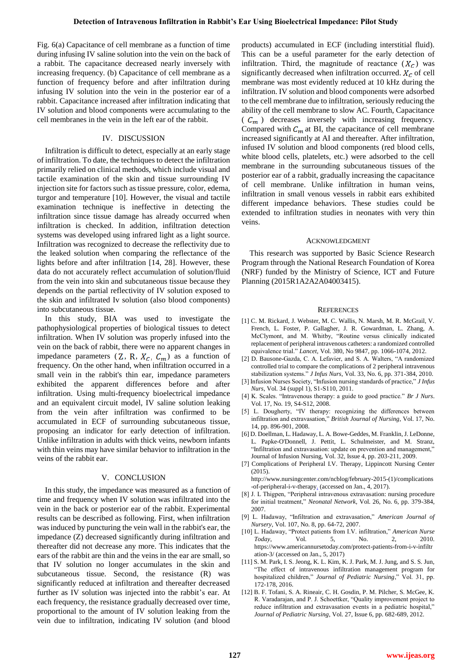Fig. 6(a) Capacitance of cell membrane as a function of time during infusing IV saline solution into the vein on the back of a rabbit. The capacitance decreased nearly inversely with increasing frequency. (b) Capacitance of cell membrane as a function of frequency before and after infiltration during infusing IV solution into the vein in the posterior ear of a rabbit. Capacitance increased after infiltration indicating that IV solution and blood components were accumulating to the cell membranes in the vein in the left ear of the rabbit.

# IV. DISCUSSION

Infiltration is difficult to detect, especially at an early stage of infiltration. To date, the techniques to detect the infiltration primarily relied on clinical methods, which include visual and tactile examination of the skin and tissue surrounding IV injection site for factors such as tissue pressure, color, edema, turgor and temperature [10]. However, the visual and tactile examination technique is ineffective in detecting the infiltration since tissue damage has already occurred when infiltration is checked. In addition, infiltration detection systems was developed using infrared light as a light source. Infiltration was recognized to decrease the reflectivity due to the leaked solution when comparing the reflectance of the lights before and after infiltration [14, 28]. However, these data do not accurately reflect accumulation of solution/fluid from the vein into skin and subcutaneous tissue because they depends on the partial reflectivity of IV solution exposed to the skin and infiltrated Iv solution (also blood components) into subcutaneous tissue.

In this study, BIA was used to investigate the pathophysiological properties of biological tissues to detect infiltration. When IV solution was properly infused into the vein on the back of rabbit, there were no apparent changes in impedance parameters  $(Z, R, X_c, C_m)$  as a function of frequency. On the other hand, when infiltration occurred in a small vein in the rabbit's thin ear, impedance parameters exhibited the apparent differences before and after infiltration. Using multi-frequency bioelectrical impedance and an equivalent circuit model, IV saline solution leaking from the vein after infiltration was confirmed to be accumulated in ECF of surrounding subcutaneous tissue, proposing an indicator for early detection of infiltration. Unlike infiltration in adults with thick veins, newborn infants with thin veins may have similar behavior to infiltration in the veins of the rabbit ear.

### V. CONCLUSION

In this study, the impedance was measured as a function of time and frequency when IV solution was infiltrated into the vein in the back or posterior ear of the rabbit. Experimental results can be described as following. First, when infiltration was induced by puncturing the vein wall in the rabbit's ear, the impedance (Z) decreased significantly during infiltration and thereafter did not decrease any more. This indicates that the ears of the rabbit are thin and the veins in the ear are small, so that IV solution no longer accumulates in the skin and subcutaneous tissue. Second, the resistance (R) was significantly reduced at infiltration and thereafter decreased further as IV solution was injected into the rabbit's ear. At each frequency, the resistance gradually decreased over time, proportional to the amount of IV solution leaking from the vein due to infiltration, indicating IV solution (and blood

products) accumulated in ECF (including interstitial fluid). This can be a useful parameter for the early detection of infiltration. Third, the magnitude of reactance  $(X_c)$  was significantly decreased when infiltration occurred.  $X_c$  of cell membrane was most evidently reduced at 10 kHz during the infiltration. IV solution and blood components were adsorbed to the cell membrane due to infiltration, seriously reducing the ability of the cell membrane to slow AC. Fourth, Capacitance ( $C_m$ ) decreases inversely with increasing frequency. Compared with  $C_m$  at BI, the capacitance of cell membrane increased significantly at AI and thereafter. After infiltration, infused IV solution and blood components (red blood cells, white blood cells, platelets, etc.) were adsorbed to the cell membrane in the surrounding subcutaneous tissues of the posterior ear of a rabbit, gradually increasing the capacitance of cell membrane. Unlike infiltration in human veins, infiltration in small venous vessels in rabbit ears exhibited different impedance behaviors. These studies could be extended to infiltration studies in neonates with very thin veins.

#### ACKNOWLEDGMENT

This research was supported by Basic Science Research Program through the National Research Foundation of Korea (NRF) funded by the Ministry of Science, ICT and Future Planning (2015R1A2A2A04003415).

#### **REFERENCES**

- [1] C. M. Rickard, J. Webster, M. C. Wallis, N. Marsh, M. R. McGrail, V. French, L. Foster, P. Gallagher, J. R. Gowardman, L. Zhang, A. McClymont, and M. Whitby, "Routine versus clinically indicated replacement of peripheral intravenous catheters: a randomized controlled equivalence trial." *Lancet,* Vol. 380, No 9847, pp. 1066-1074, 2012.
- [2] D. Bausone-Gazda, C. A. Lefavier, and S. A. Walters, "A randomized controlled trial to compare the complications of 2 peripheral intravenous stabilization systems." *J Infus Nurs*, Vol. 33, No. 6, pp. 371-384, 2010.
- [3] Infusion Nurses Society, "Infusion nursing standards of practice," *J Infus Nurs*, Vol. 34 (suppl 1), S1-S110, 2011.
- [4] K. Scales. "Intravenous therapy: a guide to good practice." *Br J Nurs*. Vol. 17, No. 19, S4-S12, 2008.
- [5] L. Dougherty, "IV therapy: recognizing the differences between infiltration and extravasation," *British Journal of Nursing*, Vol. 17, No. 14, pp. 896-901, 2008.
- [6] D. Doellman, L. Hadaway, L. A. Bowe-Geddes, M. Franklin, J. LeDonne, L. Papke-O'Donnell, J. Pettit, L. Schulmeister, and M. Stranz, "Infiltration and extravasation: update on prevention and management," Journal of Infusion Nursing, Vol. 32, Issue 4, pp. 203-211, 2009.
- [7] Complications of Peripheral I.V. Therapy, Lippincott Nursing Center (2015).

http://www.nursingcenter.com/ncblog/february-2015-(1)/complications -of-peripheral-i-v-therapy. (accessed on Jan., 4, 2017).

- [8] J. L Thigpen, "Peripheral intravenous extravasation: nursing procedure for initial treatment," *Neonatal Network*, Vol. 26, No. 6, pp. 379-384, 2007.
- [9] L. Hadaway, "Infiltration and extravasation," *American Journal of Nursery*, Vol. 107, No. 8, pp. 64-72, 2007.
- [10] L. Hadaway, "Protect patients from I.V. infiltration," *American Nurse Today*, Vol. 5, No. 2, 2010. https://www.americannursetoday.com/protect-patients-from-i-v-infiltr ation-3/ (accessed on Jan., 5, 2017)
- [11] S. M. Park, I. S. Jeong, K. L. Kim, K. J. Park, M. J. Jung, and S. S. Jun, "The effect of intravenous infiltration management program for hospitalized children," *Journal of Pediatric Nursing*," Vol. 31, pp. 172-178, 2016.
- [12] B. F. Tofani, S. A. Rineair, C. H. Gosdin, P. M. Pilcher, S. McGee, K. R. Varadarajan, and P. J. Schoettker, "Quality improvement project to reduce infiltration and extravasation events in a pediatric hospital," *Journal of Pediatric Nursing*, Vol. 27, Issue 6, pp. 682-689, 2012.